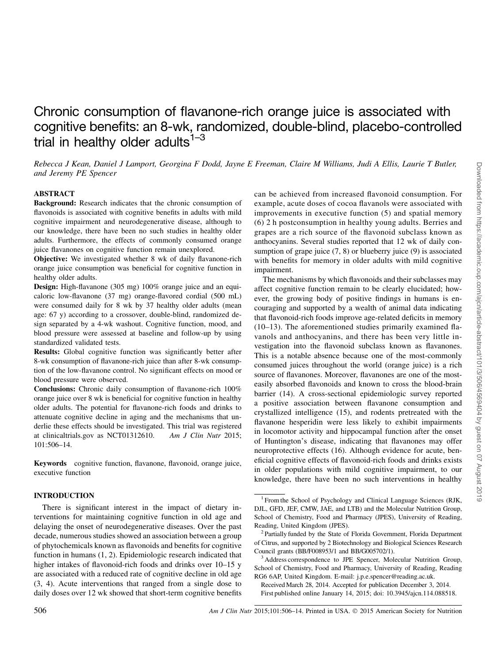# Chronic consumption of flavanone-rich orange juice is associated with cognitive benefits: an 8-wk, randomized, double-blind, placebo-controlled trial in healthy older adults $1-3$

Rebecca J Kean, Daniel J Lamport, Georgina F Dodd, Jayne E Freeman, Claire M Williams, Judi A Ellis, Laurie T Butler, and Jeremy PE Spencer

## ABSTRACT

Background: Research indicates that the chronic consumption of flavonoids is associated with cognitive benefits in adults with mild cognitive impairment and neurodegenerative disease, although to our knowledge, there have been no such studies in healthy older adults. Furthermore, the effects of commonly consumed orange juice flavanones on cognitive function remain unexplored.

Objective: We investigated whether 8 wk of daily flavanone-rich orange juice consumption was beneficial for cognitive function in healthy older adults.

Design: High-flavanone (305 mg) 100% orange juice and an equicaloric low-flavanone (37 mg) orange-flavored cordial (500 mL) were consumed daily for 8 wk by 37 healthy older adults (mean age: 67 y) according to a crossover, double-blind, randomized design separated by a 4-wk washout. Cognitive function, mood, and blood pressure were assessed at baseline and follow-up by using standardized validated tests.

Results: Global cognitive function was significantly better after 8-wk consumption of flavanone-rich juice than after 8-wk consumption of the low-flavanone control. No significant effects on mood or blood pressure were observed.

Conclusions: Chronic daily consumption of flavanone-rich 100% orange juice over 8 wk is beneficial for cognitive function in healthy older adults. The potential for flavanone-rich foods and drinks to attenuate cognitive decline in aging and the mechanisms that underlie these effects should be investigated. This trial was registered at clinicaltrials.gov as NCT01312610. Am J Clin Nutr 2015; 101:506–14.

Keywords cognitive function, flavanone, flavonoid, orange juice, executive function

## INTRODUCTION

There is significant interest in the impact of dietary interventions for maintaining cognitive function in old age and delaying the onset of neurodegenerative diseases. Over the past decade, numerous studies showed an association between a group of phytochemicals known as flavonoids and benefits for cognitive function in humans (1, 2). Epidemiologic research indicated that higher intakes of flavonoid-rich foods and drinks over 10–15 y are associated with a reduced rate of cognitive decline in old age (3, 4). Acute interventions that ranged from a single dose to daily doses over 12 wk showed that short-term cognitive benefits

can be achieved from increased flavonoid consumption. For example, acute doses of cocoa flavanols were associated with improvements in executive function (5) and spatial memory (6) 2 h postconsumption in healthy young adults. Berries and grapes are a rich source of the flavonoid subclass known as anthocyanins. Several studies reported that 12 wk of daily consumption of grape juice  $(7, 8)$  or blueberry juice  $(9)$  is associated with benefits for memory in older adults with mild cognitive impairment.

The mechanisms by which flavonoids and their subclasses may affect cognitive function remain to be clearly elucidated; however, the growing body of positive findings in humans is encouraging and supported by a wealth of animal data indicating that flavonoid-rich foods improve age-related deficits in memory (10–13). The aforementioned studies primarily examined flavanols and anthocyanins, and there has been very little investigation into the flavonoid subclass known as flavanones. This is a notable absence because one of the most-commonly consumed juices throughout the world (orange juice) is a rich source of flavanones. Moreover, flavanones are one of the mosteasily absorbed flavonoids and known to cross the blood-brain barrier (14). A cross-sectional epidemiologic survey reported a positive association between flavanone consumption and crystallized intelligence (15), and rodents pretreated with the flavanone hesperidin were less likely to exhibit impairments in locomotor activity and hippocampal function after the onset of Huntington's disease, indicating that flavanones may offer neuroprotective effects (16). Although evidence for acute, beneficial cognitive effects of flavonoid-rich foods and drinks exists in older populations with mild cognitive impairment, to our knowledge, there have been no such interventions in healthy

<sup>&</sup>lt;sup>1</sup> From the School of Psychology and Clinical Language Sciences (RJK, DJL, GFD, JEF, CMW, JAE, and LTB) and the Molecular Nutrition Group, School of Chemistry, Food and Pharmacy (JPES), University of Reading,

Reading, United Kingdom (JPES).<br><sup>2</sup> Partially funded by the State of Florida Government, Florida Department of Citrus, and supported by 2 Biotechnology and Biological Sciences Research Council grants (BB/F008953/1 and BB/G005702/1).

<sup>&</sup>lt;sup>3</sup> Address correspondence to JPE Spencer, Molecular Nutrition Group, School of Chemistry, Food and Pharmacy, University of Reading, Reading RG6 6AP, United Kingdom. E-mail: j.p.e.spencer@reading.ac.uk.

Received March 28, 2014. Accepted for publication December 3, 2014. First published online January 14, 2015; doi: 10.3945/ajcn.114.088518.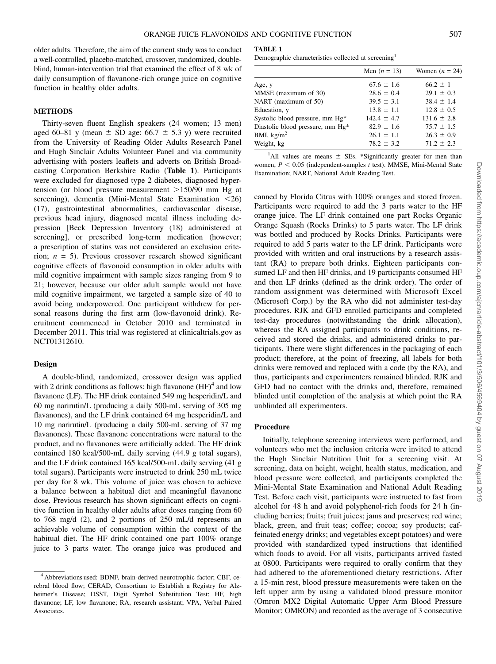older adults. Therefore, the aim of the current study was to conduct a well-controlled, placebo-matched, crossover, randomized, doubleblind, human-intervention trial that examined the effect of 8 wk of daily consumption of flavanone-rich orange juice on cognitive function in healthy older adults.

## **METHODS**

Thirty-seven fluent English speakers (24 women; 13 men) aged 60–81 y (mean  $\pm$  SD age: 66.7  $\pm$  5.3 y) were recruited from the University of Reading Older Adults Research Panel and Hugh Sinclair Adults Volunteer Panel and via community advertising with posters leaflets and adverts on British Broadcasting Corporation Berkshire Radio (Table 1). Participants were excluded for diagnosed type 2 diabetes, diagnosed hypertension (or blood pressure measurement  $>150/90$  mm Hg at screening), dementia (Mini-Mental State Examination  $\langle 26 \rangle$ (17), gastrointestinal abnormalities, cardiovascular disease, previous head injury, diagnosed mental illness including depression [Beck Depression Inventory (18) administered at screening], or prescribed long-term medication (however; a prescription of statins was not considered an exclusion criterion;  $n = 5$ ). Previous crossover research showed significant cognitive effects of flavonoid consumption in older adults with mild cognitive impairment with sample sizes ranging from 9 to 21; however, because our older adult sample would not have mild cognitive impairment, we targeted a sample size of 40 to avoid being underpowered. One participant withdrew for personal reasons during the first arm (low-flavonoid drink). Recruitment commenced in October 2010 and terminated in December 2011. This trial was registered at clinicaltrials.gov as NCT01312610.

### Design

A double-blind, randomized, crossover design was applied with 2 drink conditions as follows: high flavanone  $(HF)^4$  and low flavanone (LF). The HF drink contained 549 mg hesperidin/L and 60 mg narirutin/L (producing a daily 500-mL serving of 305 mg flavanones), and the LF drink contained 64 mg hesperidin/L and 10 mg narirutin/L (producing a daily 500-mL serving of 37 mg flavanones). These flavanone concentrations were natural to the product, and no flavanones were artificially added. The HF drink contained 180 kcal/500-mL daily serving (44.9 g total sugars), and the LF drink contained 165 kcal/500-mL daily serving (41 g total sugars). Participants were instructed to drink 250 mL twice per day for 8 wk. This volume of juice was chosen to achieve a balance between a habitual diet and meaningful flavanone dose. Previous research has shown significant effects on cognitive function in healthy older adults after doses ranging from 60 to 768 mg/d (2), and 2 portions of 250 mL/d represents an achievable volume of consumption within the context of the habitual diet. The HF drink contained one part 100% orange juice to 3 parts water. The orange juice was produced and

#### TABLE 1

Demographic characteristics collected at screening<sup>1</sup>

|                                  | Men $(n = 13)$  | Women $(n = 24)$ |
|----------------------------------|-----------------|------------------|
| Age, y                           | $67.6 \pm 1.6$  | $66.2 \pm 1$     |
| MMSE (maximum of 30)             | $28.6 \pm 0.4$  | $29.1 \pm 0.3$   |
| NART (maximum of 50)             | $39.5 \pm 3.1$  | $38.4 \pm 1.4$   |
| Education, y                     | $13.8 \pm 1.1$  | $12.8 \pm 0.5$   |
| Systolic blood pressure, mm Hg*  | $142.4 \pm 4.7$ | $131.6 \pm 2.8$  |
| Diastolic blood pressure, mm Hg* | $82.9 \pm 1.6$  | $75.7 \pm 1.5$   |
| BMI, $kg/m2$                     | $26.1 \pm 1.1$  | $26.3 \pm 0.9$   |
| Weight, kg                       | $78.2 \pm 3.2$  | $71.2 \pm 2.3$   |

<sup>1</sup>All values are means  $\pm$  SEs. \*Significantly greater for men than women,  $P < 0.05$  (independent-samples t test). MMSE, Mini-Mental State Examination; NART, National Adult Reading Test.

canned by Florida Citrus with 100% oranges and stored frozen. Participants were required to add the 3 parts water to the HF orange juice. The LF drink contained one part Rocks Organic Orange Squash (Rocks Drinks) to 5 parts water. The LF drink was bottled and produced by Rocks Drinks. Participants were required to add 5 parts water to the LF drink. Participants were provided with written and oral instructions by a research assistant (RA) to prepare both drinks. Eighteen participants consumed LF and then HF drinks, and 19 participants consumed HF and then LF drinks (defined as the drink order). The order of random assignment was determined with Microsoft Excel (Microsoft Corp.) by the RA who did not administer test-day procedures. RJK and GFD enrolled participants and completed test-day procedures (notwithstanding the drink allocation), whereas the RA assigned participants to drink conditions, received and stored the drinks, and administered drinks to participants. There were slight differences in the packaging of each product; therefore, at the point of freezing, all labels for both drinks were removed and replaced with a code (by the RA), and thus, participants and experimenters remained blinded. RJK and GFD had no contact with the drinks and, therefore, remained blinded until completion of the analysis at which point the RA unblinded all experimenters.

#### Procedure

Initially, telephone screening interviews were performed, and volunteers who met the inclusion criteria were invited to attend the Hugh Sinclair Nutrition Unit for a screening visit. At screening, data on height, weight, health status, medication, and blood pressure were collected, and participants completed the Mini-Mental State Examination and National Adult Reading Test. Before each visit, participants were instructed to fast from alcohol for 48 h and avoid polyphenol-rich foods for 24 h (including berries; fruits; fruit juices; jams and preserves; red wine; black, green, and fruit teas; coffee; cocoa; soy products; caffeinated energy drinks; and vegetables except potatoes) and were provided with standardized typed instructions that identified which foods to avoid. For all visits, participants arrived fasted at 0800. Participants were required to orally confirm that they had adhered to the aforementioned dietary restrictions. After a 15-min rest, blood pressure measurements were taken on the left upper arm by using a validated blood pressure monitor (Omron MX2 Digital Automatic Upper Arm Blood Pressure Monitor; OMRON) and recorded as the average of 3 consecutive

<sup>4</sup> Abbreviations used: BDNF, brain-derived neurotrophic factor; CBF, cerebral blood flow; CERAD, Consortium to Establish a Registry for Alzheimer's Disease; DSST, Digit Symbol Substitution Test; HF, high flavanone; LF, low flavanone; RA, research assistant; VPA, Verbal Paired **Associates**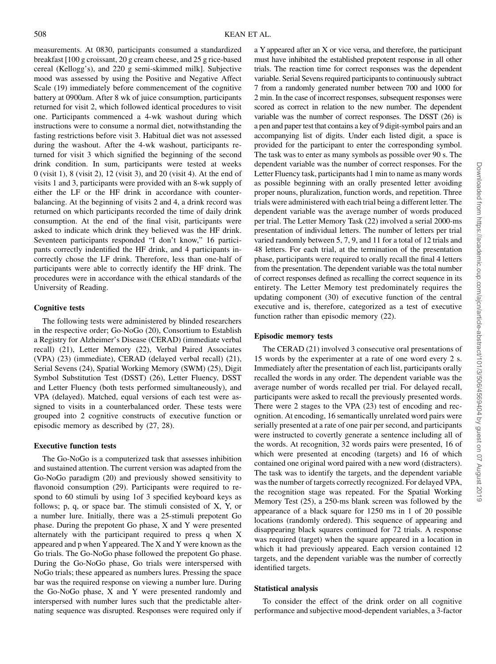measurements. At 0830, participants consumed a standardized breakfast [100 g croissant, 20 g cream cheese, and 25 g rice-based cereal (Kellogg's), and 220 g semi-skimmed milk]. Subjective mood was assessed by using the Positive and Negative Affect Scale (19) immediately before commencement of the cognitive battery at 0900am. After 8 wk of juice consumption, participants returned for visit 2, which followed identical procedures to visit one. Participants commenced a 4-wk washout during which instructions were to consume a normal diet, notwithstanding the fasting restrictions before visit 3. Habitual diet was not assessed during the washout. After the 4-wk washout, participants returned for visit 3 which signified the beginning of the second drink condition. In sum, participants were tested at weeks 0 (visit 1), 8 (visit 2), 12 (visit 3), and 20 (visit 4). At the end of visits 1 and 3, participants were provided with an 8-wk supply of either the LF or the HF drink in accordance with counterbalancing. At the beginning of visits 2 and 4, a drink record was returned on which participants recorded the time of daily drink consumption. At the end of the final visit, participants were asked to indicate which drink they believed was the HF drink. Seventeen participants responded "I don't know," 16 participants correctly indentified the HF drink, and 4 participants incorrectly chose the LF drink. Therefore, less than one-half of participants were able to correctly identify the HF drink. The procedures were in accordance with the ethical standards of the University of Reading.

# Cognitive tests

The following tests were administered by blinded researchers in the respective order; Go-NoGo (20), Consortium to Establish a Registry for Alzheimer's Disease (CERAD) (immediate verbal recall) (21), Letter Memory (22), Verbal Paired Associates (VPA) (23) (immediate), CERAD (delayed verbal recall) (21), Serial Sevens (24), Spatial Working Memory (SWM) (25), Digit Symbol Substitution Test (DSST) (26), Letter Fluency, DSST and Letter Fluency (both tests performed simultaneously), and VPA (delayed). Matched, equal versions of each test were assigned to visits in a counterbalanced order. These tests were grouped into 2 cognitive constructs of executive function or episodic memory as described by (27, 28).

#### Executive function tests

The Go-NoGo is a computerized task that assesses inhibition and sustained attention. The current version was adapted from the Go-NoGo paradigm (20) and previously showed sensitivity to flavonoid consumption (29). Participants were required to respond to 60 stimuli by using 1of 3 specified keyboard keys as follows; p, q, or space bar. The stimuli consisted of X, Y, or a number lure. Initially, there was a 25-stimuli prepotent Go phase. During the prepotent Go phase, X and Y were presented alternately with the participant required to press q when X appeared and p when Yappeared. The X and Y were known as the Go trials. The Go-NoGo phase followed the prepotent Go phase. During the Go-NoGo phase, Go trials were interspersed with NoGo trials; these appeared as numbers lures. Pressing the space bar was the required response on viewing a number lure. During the Go-NoGo phase, X and Y were presented randomly and interspersed with number lures such that the predictable alternating sequence was disrupted. Responses were required only if

a Y appeared after an X or vice versa, and therefore, the participant must have inhibited the established prepotent response in all other trials. The reaction time for correct responses was the dependent variable. Serial Sevens required participants to continuously subtract 7 from a randomly generated number between 700 and 1000 for 2 min. In the case of incorrect responses, subsequent responses were scored as correct in relation to the new number. The dependent variable was the number of correct responses. The DSST (26) is a pen and paper test that contains a key of 9 digit-symbol pairs and an accompanying list of digits. Under each listed digit, a space is provided for the participant to enter the corresponding symbol. The task was to enter as many symbols as possible over 90 s. The dependent variable was the number of correct responses. For the Letter Fluency task, participants had 1 min to name as many words as possible beginning with an orally presented letter avoiding proper nouns, pluralization, function words, and repetition. Three trials were administered with each trial being a different letter. The dependent variable was the average number of words produced per trial. The Letter Memory Task (22) involved a serial 2000-ms presentation of individual letters. The number of letters per trial varied randomly between 5, 7, 9, and 11 for a total of 12 trials and 48 letters. For each trial, at the termination of the presentation phase, participants were required to orally recall the final 4 letters from the presentation. The dependent variable was the total number of correct responses defined as recalling the correct sequence in its entirety. The Letter Memory test predominately requires the updating component (30) of executive function of the central executive and is, therefore, categorized as a test of executive function rather than episodic memory (22).

#### Episodic memory tests

The CERAD (21) involved 3 consecutive oral presentations of 15 words by the experimenter at a rate of one word every 2 s. Immediately after the presentation of each list, participants orally recalled the words in any order. The dependent variable was the average number of words recalled per trial. For delayed recall, participants were asked to recall the previously presented words. There were 2 stages to the VPA (23) test of encoding and recognition. At encoding, 16 semantically unrelated word pairs were serially presented at a rate of one pair per second, and participants were instructed to covertly generate a sentence including all of the words. At recognition, 32 words pairs were presented, 16 of which were presented at encoding (targets) and 16 of which contained one original word paired with a new word (distracters). The task was to identify the targets, and the dependent variable was the number of targets correctly recognized. For delayed VPA, the recognition stage was repeated. For the Spatial Working Memory Test (25), a 250-ms blank screen was followed by the appearance of a black square for 1250 ms in 1 of 20 possible locations (randomly ordered). This sequence of appearing and disappearing black squares continued for 72 trials. A response was required (target) when the square appeared in a location in which it had previously appeared. Each version contained 12 targets, and the dependent variable was the number of correctly identified targets.

#### Statistical analysis

To consider the effect of the drink order on all cognitive performance and subjective mood-dependent variables, a 3-factor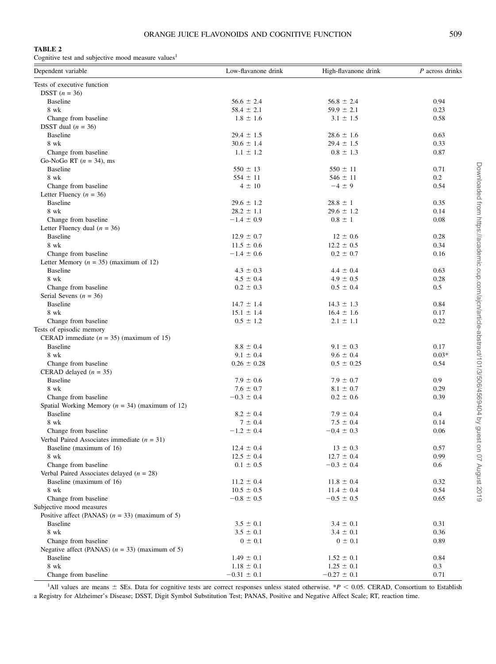## TABLE 2

Cognitive test and subjective mood measure values<sup>1</sup>

| Dependent variable                                  | Low-flavanone drink | High-flavanone drink | P across drinks |
|-----------------------------------------------------|---------------------|----------------------|-----------------|
| Tests of executive function                         |                     |                      |                 |
| DSST $(n = 36)$                                     |                     |                      |                 |
| <b>Baseline</b>                                     | $56.6 \pm 2.4$      | $56.8 \pm 2.4$       | 0.94            |
| 8 wk                                                | $58.4 \pm 2.1$      | $59.9 \pm 2.1$       | 0.23            |
| Change from baseline                                | $1.8 \pm 1.6$       | $3.1 \pm 1.5$        | 0.58            |
| DSST dual $(n = 36)$                                |                     |                      |                 |
| Baseline                                            | $29.4 \pm 1.5$      | $28.6 \pm 1.6$       | 0.63            |
| 8 wk                                                | $30.6 \pm 1.4$      | $29.4 \pm 1.5$       | 0.33            |
| Change from baseline                                | $1.1 \pm 1.2$       | $0.8 \pm 1.3$        | 0.87            |
| Go-NoGo RT $(n = 34)$ , ms                          |                     |                      |                 |
| Baseline                                            | $550 \pm 13$        | $550 \pm 11$         | 0.71            |
| 8 wk                                                | $554 \pm 11$        | $546 \pm 11$         | 0.2             |
| Change from baseline                                | $4 \pm 10$          | $-4 \pm 9$           | 0.54            |
| Letter Fluency $(n = 36)$                           |                     |                      |                 |
| <b>Baseline</b>                                     | $29.6 \pm 1.2$      | $28.8 \pm 1$         | 0.35            |
| 8 wk                                                | $28.2 \pm 1.1$      | $29.6 \pm 1.2$       | 0.14            |
| Change from baseline                                | $-1.4 \pm 0.9$      | $0.8 \pm 1$          | 0.08            |
| Letter Fluency dual $(n = 36)$                      |                     |                      |                 |
| <b>Baseline</b>                                     | $12.9 \pm 0.7$      | $12 \pm 0.6$         | 0.28            |
| 8 wk                                                | $11.5 \pm 0.6$      | $12.2 \pm 0.5$       | 0.34            |
| Change from baseline                                | $-1.4 \pm 0.6$      | $0.2 \pm 0.7$        | 0.16            |
| Letter Memory ( $n = 35$ ) (maximum of 12)          |                     |                      |                 |
| Baseline                                            | $4.3 \pm 0.3$       | $4.4 \pm 0.4$        | 0.63            |
| 8 wk                                                | $4.5 \pm 0.4$       | $4.9 \pm 0.5$        | 0.28            |
| Change from baseline                                | $0.2 \pm 0.3$       | $0.5 \pm 0.4$        | 0.5             |
| Serial Sevens $(n = 36)$                            |                     |                      |                 |
| <b>Baseline</b>                                     | $14.7 \pm 1.4$      | $14.3 \pm 1.3$       | 0.84            |
| 8 wk                                                | $15.1 \pm 1.4$      | $16.4 \pm 1.6$       | 0.17            |
| Change from baseline                                | $0.5 \pm 1.2$       | $2.1 \pm 1.1$        | 0.22            |
| Tests of episodic memory                            |                     |                      |                 |
| CERAD immediate $(n = 35)$ (maximum of 15)          |                     |                      |                 |
| <b>Baseline</b>                                     | $8.8 \pm 0.4$       | $9.1 \pm 0.3$        | 0.17            |
| 8 wk                                                | $9.1 \pm 0.4$       | $9.6 \pm 0.4$        | $0.03*$         |
| Change from baseline                                | $0.26 \pm 0.28$     | $0.5 \pm 0.25$       | 0.54            |
| CERAD delayed $(n = 35)$                            |                     |                      |                 |
| Baseline                                            | $7.9 \pm 0.6$       | $7.9 \pm 0.7$        | 0.9             |
| 8 wk                                                | $7.6 \pm 0.7$       | $8.1 \pm 0.7$        | 0.29            |
| Change from baseline                                | $-0.3 \pm 0.4$      | $0.2 \pm 0.6$        | 0.39            |
| Spatial Working Memory ( $n = 34$ ) (maximum of 12) |                     |                      |                 |
| <b>Baseline</b>                                     | $8.2 \pm 0.4$       | $7.9 \pm 0.4$        | 0.4             |
| 8 wk                                                | $7 \pm 0.4$         | $7.5 \pm 0.4$        | 0.14            |
| Change from baseline                                | $-1.2 \pm 0.4$      | $-0.4 \pm 0.3$       | 0.06            |
| Verbal Paired Associates immediate $(n = 31)$       |                     |                      |                 |
| Baseline (maximum of 16)                            | $12.4 \pm 0.4$      | $13 \pm 0.3$         | 0.57            |
| 8 wk                                                | $12.5 \pm 0.4$      | $12.7 \pm 0.4$       | 0.99            |
| Change from baseline                                | $0.1 \pm 0.5$       | $-0.3 \pm 0.4$       | 0.6             |
| Verbal Paired Associates delayed ( $n = 28$ )       |                     |                      |                 |
| Baseline (maximum of 16)                            | $11.2 \pm 0.4$      | $11.8 \pm 0.4$       | 0.32            |
| 8 wk                                                | $10.5 \pm 0.5$      | $11.4 \pm 0.4$       | 0.54            |
| Change from baseline                                | $-0.8 \pm 0.5$      | $-0.5 \pm 0.5$       | 0.65            |
| Subjective mood measures                            |                     |                      |                 |
| Positive affect (PANAS) $(n = 33)$ (maximum of 5)   |                     |                      |                 |
| <b>Baseline</b>                                     | $3.5 \pm 0.1$       | $3.4 \pm 0.1$        | 0.31            |
| 8 wk                                                | $3.5 \pm 0.1$       | $3.4 \pm 0.1$        | 0.36            |
| Change from baseline                                | $0 \pm 0.1$         | $0 \pm 0.1$          | 0.89            |
| Negative affect (PANAS) $(n = 33)$ (maximum of 5)   |                     |                      |                 |
| <b>Baseline</b>                                     | $1.49 \pm 0.1$      | $1.52 \pm 0.1$       | 0.84            |
| 8 wk                                                | $1.18\,\pm\,0.1$    | $1.25 \pm 0.1$       | 0.3             |
| Change from baseline                                | $-0.31 \pm 0.1$     | $-0.27 \pm 0.1$      | 0.71            |

<sup>1</sup>All values are means  $\pm$  SEs. Data for cognitive tests are correct responses unless stated otherwise. \*P < 0.05. CERAD, Consortium to Establish a Registry for Alzheimer's Disease; DSST, Digit Symbol Substitution Test; PANAS, Positive and Negative Affect Scale; RT, reaction time.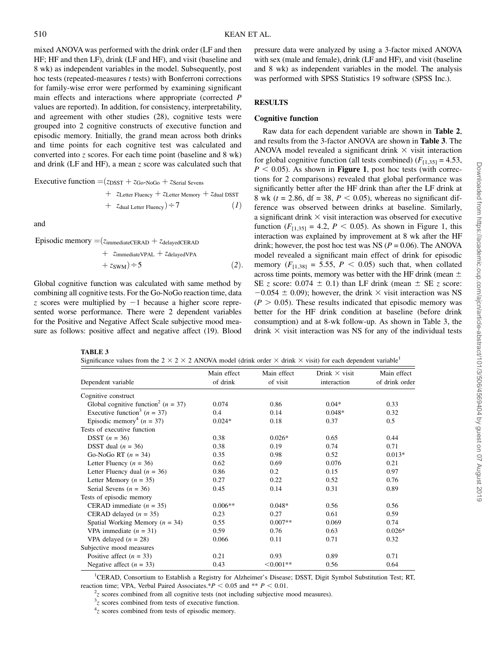mixed ANOVA was performed with the drink order (LF and then HF; HF and then LF), drink (LF and HF), and visit (baseline and 8 wk) as independent variables in the model. Subsequently, post hoc tests (repeated-measures *t* tests) with Bonferroni corrections for family-wise error were performed by examining significant main effects and interactions where appropriate (corrected P values are reported). In addition, for consistency, interpretability, and agreement with other studies (28), cognitive tests were grouped into 2 cognitive constructs of executive function and episodic memory. Initially, the grand mean across both drinks and time points for each cognitive test was calculated and converted into z scores. For each time point (baseline and  $8$  wk) and drink (LF and HF), a mean z score was calculated such that

**Execute function** = 
$$
(z_{DSST} + z_{Go-NoGo} + z_{\text{Serial Sevens}})
$$

+ 
$$
z_{\text{Letter Fluency}} + z_{\text{Letter Memory}} + z_{\text{dual DSST}}
$$
  
+  $z_{\text{dual Letter Fluency}} \div 7$  (1)

and

Episodic memory  $=(z_{immediateCERAD} + z_{delayedCERAD})$ 

+ 
$$
z_{\text{immediate}} + z_{\text{delayed}+}
$$
  
+  $z_{\text{SWM}} \div 5$  (2).

Global cognitive function was calculated with same method by combining all cognitive tests. For the Go-NoGo reaction time, data z scores were multiplied by  $-1$  because a higher score represented worse performance. There were 2 dependent variables for the Positive and Negative Affect Scale subjective mood measure as follows: positive affect and negative affect (19). Blood pressure data were analyzed by using a 3-factor mixed ANOVA with sex (male and female), drink (LF and HF), and visit (baseline and 8 wk) as independent variables in the model. The analysis was performed with SPSS Statistics 19 software (SPSS Inc.).

# **RESULTS**

#### Cognitive function

Raw data for each dependent variable are shown in Table 2, and results from the 3-factor ANOVA are shown in Table 3. The ANOVA model revealed a significant drink  $\times$  visit interaction for global cognitive function (all tests combined)  $(F<sub>[1,35]</sub> = 4.53)$ ,  $P < 0.05$ ). As shown in **Figure 1**, post hoc tests (with corrections for 2 comparisons) revealed that global performance was significantly better after the HF drink than after the LF drink at 8 wk ( $t = 2.86$ , df = 38,  $P < 0.05$ ), whereas no significant difference was observed between drinks at baseline. Similarly, a significant drink  $\times$  visit interaction was observed for executive function  $(F_{[1,35]} = 4.2, P < 0.05)$ . As shown in Figure 1, this interaction was explained by improvement at 8 wk after the HF drink; however, the post hoc test was NS ( $P = 0.06$ ). The ANOVA model revealed a significant main effect of drink for episodic memory  $(F_{[1,38]} = 5.55, P < 0.05)$  such that, when collated across time points, memory was better with the HF drink (mean  $\pm$ SE z score:  $0.074 \pm 0.1$ ) than LF drink (mean  $\pm$  SE z score:  $-0.054 \pm 0.09$ ); however, the drink  $\times$  visit interaction was NS  $(P > 0.05)$ . These results indicated that episodic memory was better for the HF drink condition at baseline (before drink consumption) and at 8-wk follow-up. As shown in Table 3, the drink  $\times$  visit interaction was NS for any of the individual tests

TABLE 3

Significance values from the  $2 \times 2 \times 2$  ANOVA model (drink order  $\times$  drink  $\times$  visit) for each dependent variable<sup>1</sup>

| Dependent variable                                  | Main effect<br>of drink | Main effect<br>of visit | Drink $\times$ visit<br>interaction | Main effect<br>of drink order |
|-----------------------------------------------------|-------------------------|-------------------------|-------------------------------------|-------------------------------|
| Cognitive construct                                 |                         |                         |                                     |                               |
| Global cognitive function <sup>2</sup> ( $n = 37$ ) | 0.074                   | 0.86                    | $0.04*$                             | 0.33                          |
| Executive function <sup>3</sup> ( $n = 37$ )        | 0.4                     | 0.14                    | $0.048*$                            | 0.32                          |
| Episodic memory <sup>4</sup> ( $n = 37$ )           | $0.024*$                | 0.18                    | 0.37                                | 0.5                           |
| Tests of executive function                         |                         |                         |                                     |                               |
| <b>DSST</b> $(n = 36)$                              | 0.38                    | $0.026*$                | 0.65                                | 0.44                          |
| DSST dual $(n = 36)$                                | 0.38                    | 0.19                    | 0.74                                | 0.71                          |
| Go-NoGo RT $(n = 34)$                               | 0.35                    | 0.98                    | 0.52                                | $0.013*$                      |
| Letter Fluency $(n = 36)$                           | 0.62                    | 0.69                    | 0.076                               | 0.21                          |
| Letter Fluency dual $(n = 36)$                      | 0.86                    | 0.2                     | 0.15                                | 0.97                          |
| Letter Memory ( $n = 35$ )                          | 0.27                    | 0.22                    | 0.52                                | 0.76                          |
| Serial Sevens ( $n = 36$ )                          | 0.45                    | 0.14                    | 0.31                                | 0.89                          |
| Tests of episodic memory                            |                         |                         |                                     |                               |
| CERAD immediate $(n = 35)$                          | $0.006**$               | $0.048*$                | 0.56                                | 0.56                          |
| CERAD delayed $(n = 35)$                            | 0.23                    | 0.27                    | 0.61                                | 0.59                          |
| Spatial Working Memory ( $n = 34$ )                 | 0.55                    | $0.007**$               | 0.069                               | 0.74                          |
| VPA immediate $(n = 31)$                            | 0.59                    | 0.76                    | 0.63                                | $0.026*$                      |
| VPA delayed $(n = 28)$                              | 0.066                   | 0.11                    | 0.71                                | 0.32                          |
| Subjective mood measures                            |                         |                         |                                     |                               |
| Positive affect $(n = 33)$                          | 0.21                    | 0.93                    | 0.89                                | 0.71                          |
| Negative affect $(n = 33)$                          | 0.43                    | $< 0.001**$             | 0.56                                | 0.64                          |

| <sup>1</sup> CERAD, Consortium to Establish a Registry for Alzheimer's Disease; DSST, Digit Symbol Substitution Test; RT, |
|---------------------------------------------------------------------------------------------------------------------------|
| reaction time: VPA. Verbal Paired Associates.* $P \le 0.05$ and ** $P \le 0.01$ .                                         |
| $\frac{2}{5}$ seems combined from all coenitive tests (not including subjective mood measures)                            |

 $\frac{2}{3}$  scores combined from all cognitive tests (not including subjective mood measures).

 $3<sub>z</sub>$  scores combined from tests of executive function.

 $4<sub>z</sub>$  scores combined from tests of episodic memory.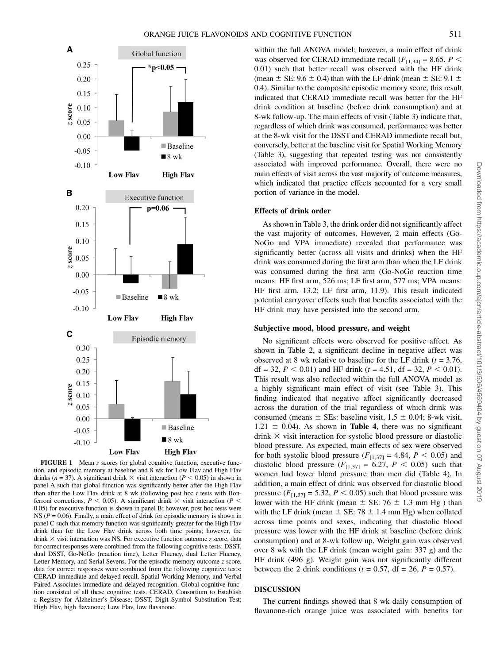

FIGURE 1 Mean z scores for global cognitive function, executive function, and episodic memory at baseline and 8 wk for Low Flav and High Flav drinks ( $n = 37$ ). A significant drink  $\times$  visit interaction ( $P < 0.05$ ) in shown in panel A such that global function was significantly better after the High Flav than after the Low Flav drink at 8 wk (following post hoc  $t$  tests with Bonferroni corrections,  $P$  < 0.05). A significant drink  $\times$  visit interaction (P < 0.05) for executive function is shown in panel B; however, post hoc tests were NS ( $P = 0.06$ ). Finally, a main effect of drink for episodic memory is shown in panel C such that memory function was significantly greater for the High Flav drink than for the Low Flav drink across both time points; however, the drink  $\times$  visit interaction was NS. For executive function outcome z score, data for correct responses were combined from the following cognitive tests: DSST, dual DSST, Go-NoGo (reaction time), Letter Fluency, dual Letter Fluency, Letter Memory, and Serial Sevens. For the episodic memory outcome  $z$  score, data for correct responses were combined from the following cognitive tests: CERAD immediate and delayed recall, Spatial Working Memory, and Verbal Paired Associates immediate and delayed recognition. Global cognitive function consisted of all these cognitive tests. CERAD, Consortium to Establish a Registry for Alzheimer's Disease; DSST, Digit Symbol Substitution Test; High Flav, high flavanone; Low Flav, low flavanone.

within the full ANOVA model; however, a main effect of drink was observed for CERAD immediate recall ( $F_{[1,34]} = 8.65$ ,  $P <$ 0.01) such that better recall was observed with the HF drink (mean  $\pm$  SE: 9.6  $\pm$  0.4) than with the LF drink (mean  $\pm$  SE: 9.1  $\pm$ 0.4). Similar to the composite episodic memory score, this result indicated that CERAD immediate recall was better for the HF drink condition at baseline (before drink consumption) and at 8-wk follow-up. The main effects of visit (Table 3) indicate that, regardless of which drink was consumed, performance was better at the 8-wk visit for the DSST and CERAD immediate recall but, conversely, better at the baseline visit for Spatial Working Memory (Table 3), suggesting that repeated testing was not consistently associated with improved performance. Overall, there were no main effects of visit across the vast majority of outcome measures, which indicated that practice effects accounted for a very small portion of variance in the model.

### Effects of drink order

As shown in Table 3, the drink order did not significantly affect the vast majority of outcomes. However, 2 main effects (Go-NoGo and VPA immediate) revealed that performance was significantly better (across all visits and drinks) when the HF drink was consumed during the first arm than when the LF drink was consumed during the first arm (Go-NoGo reaction time means: HF first arm, 526 ms; LF first arm, 577 ms; VPA means: HF first arm, 13.2; LF first arm, 11.9). This result indicated potential carryover effects such that benefits associated with the HF drink may have persisted into the second arm.

#### Subjective mood, blood pressure, and weight

No significant effects were observed for positive affect. As shown in Table 2, a significant decline in negative affect was observed at 8 wk relative to baseline for the LF drink ( $t = 3.76$ , df = 32,  $P < 0.01$ ) and HF drink (t = 4.51, df = 32,  $P < 0.01$ ). This result was also reflected within the full ANOVA model as a highly significant main effect of visit (see Table 3). This finding indicated that negative affect significantly decreased across the duration of the trial regardless of which drink was consumed (means  $\pm$  SEs: baseline visit, 1.5  $\pm$  0.04; 8-wk visit,  $1.21 \pm 0.04$ ). As shown in **Table 4**, there was no significant drink  $\times$  visit interaction for systolic blood pressure or diastolic blood pressure. As expected, main effects of sex were observed for both systolic blood pressure  $(F_{[1,37]} = 4.84, P \le 0.05)$  and diastolic blood pressure  $(F_{[1,37]} = 6.27, P < 0.05)$  such that women had lower blood pressure than men did (Table 4). In addition, a main effect of drink was observed for diastolic blood pressure  $(F_{[1,37]} = 5.32, P < 0.05)$  such that blood pressure was lower with the HF drink (mean  $\pm$  SE: 76  $\pm$  1.3 mm Hg ) than with the LF drink (mean  $\pm$  SE: 78  $\pm$  1.4 mm Hg) when collated across time points and sexes, indicating that diastolic blood pressure was lower with the HF drink at baseline (before drink consumption) and at 8-wk follow up. Weight gain was observed over 8 wk with the LF drink (mean weight gain: 337 g) and the HF drink (496 g). Weight gain was not significantly different between the 2 drink conditions ( $t = 0.57$ , df = 26,  $P = 0.57$ ).

# DISCUSSION

The current findings showed that 8 wk daily consumption of flavanone-rich orange juice was associated with benefits for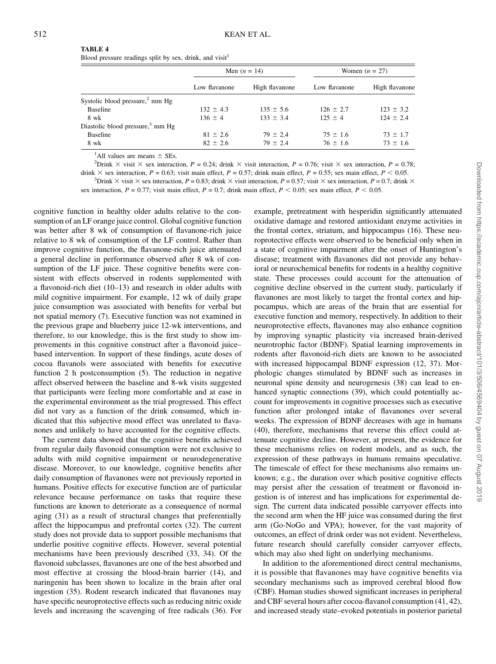#### TABLE 4

Blood pressure readings split by sex, drink, and visit $<sup>1</sup>$ </sup>

|                                              | Men $(n = 14)$ |                | Women $(n = 27)$ |                |
|----------------------------------------------|----------------|----------------|------------------|----------------|
|                                              | Low flavanone  | High flavanone | Low flavanone    | High flavanone |
| Systolic blood pressure, $2$ mm Hg           |                |                |                  |                |
| Baseline                                     | $132 \pm 4.3$  | $135 \pm 5.6$  | $126 \pm 2.7$    | $123 \pm 3.2$  |
| 8 wk                                         | $136 \pm 4$    | $133 \pm 3.4$  | $125 \pm 4$      | $124 \pm 2.4$  |
| Diastolic blood pressure, <sup>3</sup> mm Hg |                |                |                  |                |
| Baseline                                     | $81 \pm 2.6$   | $79 \pm 2.4$   | $75 \pm 1.6$     | $73 \pm 1.7$   |
| 8 wk                                         | $82 \pm 2.6$   | $79 \pm 2.4$   | $76 \pm 1.6$     | $73 \pm 1.6$   |

<sup>1</sup>All values are means  $\pm$  SEs.<br><sup>2</sup>Drink  $\times$  visit  $\times$  sex interact.

 $\text{2Drink} \times \text{visit} \times \text{sex}$  interaction,  $P = 0.24$ ; drink  $\times$  visit interaction,  $P = 0.76$ ; visit  $\times$  sex interaction,  $P = 0.78$ ;

drink  $\times$  sex interaction, P = 0.63; visit main effect, P = 0.57; drink main effect, P = 0.55; sex main effect, P < 0.05. <sup>3</sup>Drink  $\times$  visit  $\times$  sex interaction, P = 0.83; drink  $\times$  visit interaction, P = 0.57; visit  $\times$  sex interaction, P = 0.7; drink  $\times$ 

sex interaction,  $P = 0.77$ ; visit main effect,  $P = 0.7$ ; drink main effect,  $P < 0.05$ ; sex main effect,  $P < 0.05$ .

cognitive function in healthy older adults relative to the consumption of an LF orange juice control. Global cognitive function was better after 8 wk of consumption of flavanone-rich juice relative to 8 wk of consumption of the LF control. Rather than improve cognitive function, the flavanone-rich juice attenuated a general decline in performance observed after 8 wk of consumption of the LF juice. These cognitive benefits were consistent with effects observed in rodents supplemented with a flavonoid-rich diet (10–13) and research in older adults with mild cognitive impairment. For example, 12 wk of daily grape juice consumption was associated with benefits for verbal but not spatial memory (7). Executive function was not examined in the previous grape and blueberry juice 12-wk interventions, and therefore, to our knowledge, this is the first study to show improvements in this cognitive construct after a flavonoid juice– based intervention. In support of these findings, acute doses of cocoa flavanols were associated with benefits for executive function 2 h postconsumption (5). The reduction in negative affect observed between the baseline and 8-wk visits suggested that participants were feeling more comfortable and at ease in the experimental environment as the trial progressed. This effect did not vary as a function of the drink consumed, which indicated that this subjective mood effect was unrelated to flavanones and unlikely to have accounted for the cognitive effects.

The current data showed that the cognitive benefits achieved from regular daily flavonoid consumption were not exclusive to adults with mild cognitive impairment or neurodegenerative disease. Moreover, to our knowledge, cognitive benefits after daily consumption of flavanones were not previously reported in humans. Positive effects for executive function are of particular relevance because performance on tasks that require these functions are known to deteriorate as a consequence of normal aging (31) as a result of structural changes that preferentially affect the hippocampus and prefrontal cortex (32). The current study does not provide data to support possible mechanisms that underlie positive cognitive effects. However, several potential mechanisms have been previously described (33, 34). Of the flavonoid subclasses, flavanones are one of the best absorbed and most effective at crossing the blood-brain barrier (14), and naringenin has been shown to localize in the brain after oral ingestion (35). Rodent research indicated that flavanones may have specific neuroprotective effects such as reducing nitric oxide levels and increasing the scavenging of free radicals (36). For

example, pretreatment with hesperidin significantly attenuated oxidative damage and restored antioxidant enzyme activities in the frontal cortex, striatum, and hippocampus (16). These neuroprotective effects were observed to be beneficial only when in a state of cognitive impairment after the onset of Huntington's disease; treatment with flavanones did not provide any behavioral or neurochemical benefits for rodents in a healthy cognitive state. These processes could account for the attenuation of cognitive decline observed in the current study, particularly if flavanones are most likely to target the frontal cortex and hippocampus, which are areas of the brain that are essential for executive function and memory, respectively. In addition to their neuroprotective effects, flavanones may also enhance cognition by improving synaptic plasticity via increased brain-derived neurotrophic factor (BDNF). Spatial learning improvements in rodents after flavonoid-rich diets are known to be associated with increased hippocampal BDNF expression (12, 37). Morphologic changes stimulated by BDNF such as increases in neuronal spine density and neurogenesis (38) can lead to enhanced synaptic connections (39), which could potentially account for improvements in cognitive processes such as executive function after prolonged intake of flavanones over several weeks. The expression of BDNF decreases with age in humans (40), therefore, mechanisms that reverse this effect could attenuate cognitive decline. However, at present, the evidence for these mechanisms relies on rodent models, and as such, the expression of these pathways in humans remains speculative. The timescale of effect for these mechanisms also remains unknown; e.g., the duration over which positive cognitive effects may persist after the cessation of treatment or flavonoid ingestion is of interest and has implications for experimental design. The current data indicated possible carryover effects into the second arm when the HF juice was consumed during the first arm (Go-NoGo and VPA); however, for the vast majority of outcomes, an effect of drink order was not evident. Nevertheless, future research should carefully consider carryover effects, which may also shed light on underlying mechanisms.

In addition to the aforementioned direct central mechanisms, it is possible that flavanones may have cognitive benefits via secondary mechanisms such as improved cerebral blood flow (CBF). Human studies showed significant increases in peripheral and CBF several hours after cocoa-flavanol consumption (41, 42), and increased steady state–evoked potentials in posterior parietal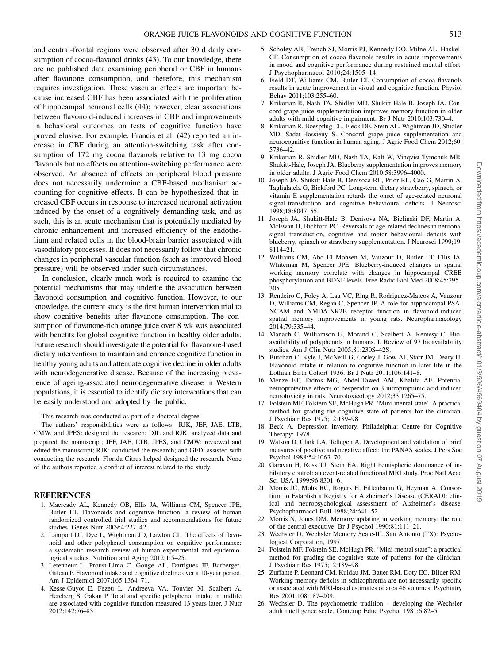and central-frontal regions were observed after 30 d daily consumption of cocoa-flavanol drinks (43). To our knowledge, there are no published data examining peripheral or CBF in humans after flavanone consumption, and therefore, this mechanism requires investigation. These vascular effects are important because increased CBF has been associated with the proliferation of hippocampal neuronal cells (44); however, clear associations between flavonoid-induced increases in CBF and improvements in behavioral outcomes on tests of cognitive function have proved elusive. For example, Francis et al. (42) reported an increase in CBF during an attention-switching task after consumption of 172 mg cocoa flavanols relative to 13 mg cocoa flavanols but no effects on attention-switching performance were observed. An absence of effects on peripheral blood pressure does not necessarily undermine a CBF-based mechanism accounting for cognitive effects. It can be hypothesized that increased CBF occurs in response to increased neuronal activation induced by the onset of a cognitively demanding task, and as such, this is an acute mechanism that is potentially mediated by chronic enhancement and increased efficiency of the endothelium and related cells in the blood-brain barrier associated with vasodilatory processes. It does not necessarily follow that chronic changes in peripheral vascular function (such as improved blood pressure) will be observed under such circumstances.

In conclusion, clearly much work is required to examine the potential mechanisms that may underlie the association between flavonoid consumption and cognitive function. However, to our knowledge, the current study is the first human intervention trial to show cognitive benefits after flavanone consumption. The consumption of flavanone-rich orange juice over 8 wk was associated with benefits for global cognitive function in healthy older adults. Future research should investigate the potential for flavanone-based dietary interventions to maintain and enhance cognitive function in healthy young adults and attenuate cognitive decline in older adults with neurodegenerative disease. Because of the increasing prevalence of ageing-associated neurodegenerative disease in Western populations, it is essential to identify dietary interventions that can be easily understood and adopted by the public.

This research was conducted as part of a doctoral degree.

The authors' responsibilities were as follows—RJK, JEF, JAE, LTB, CMW, and JPES: designed the research; DJL and RJK: analyzed data and prepared the manuscript; JEF, JAE, LTB, JPES, and CMW: reviewed and edited the manuscript; RJK: conducted the research; and GFD: assisted with conducting the research. Florida Citrus helped designed the research. None of the authors reported a conflict of interest related to the study.

#### REFERENCES

- 1. Macready AL, Kennedy OB, Ellis JA, Williams CM, Spencer JPE, Butler LT. Flavonoids and cognitive function: a review of human randomized controlled trial studies and recommendations for future studies. Genes Nutr 2009;4:227–42.
- 2. Lamport DJ, Dye L, Wightman JD, Lawton CL. The effects of flavonoid and other polyphenol consumption on cognitive performance: a systematic research review of human experimental and epidemiological studies. Nutrition and Aging 2012;1:5–25.
- 3. Letenneur L, Proust-Lima C, Gouge AL, Dartigues JF, Barberger-Gateau P. Flavonoid intake and cognitive decline over a 10-year period. Am J Epidemiol 2007;165:1364–71.
- 4. Kesse-Guyot E, Fezeu L, Andreeva VA, Touvier M, Scalbert A, Hercberg S, Gakan P. Total and specific polyphenol intake in midlife are associated with cognitive function measured 13 years later. J Nutr 2012;142:76–83.
- 5. Scholey AB, French SJ, Morris PJ, Kennedy DO, Milne AL, Haskell CF. Consumption of cocoa flavanols results in acute improvements in mood and cognitive performance during sustained mental effort. J Psychopharmacol 2010;24:1505–14.
- 6. Field DT, Williams CM, Butler LT. Consumption of cocoa flavanols results in acute improvement in visual and cognitive function. Physiol Behav 2011;103:255–60.
- 7. Krikorian R, Nash TA, Shidler MD, Shukitt-Hale B, Joseph JA. Concord grape juice supplementation improves memory function in older adults with mild cognitive impairment. Br J Nutr 2010;103:730–4.
- 8. Krikorian R, Boespflug EL, Fleck DE, Stein AL, Wightman JD, Shidler MD, Sadat-Hossieny S. Concord grape juice supplementation and neurocognitive function in human aging. J Agric Food Chem 2012;60: 5736–42.
- 9. Krikorian R, Shidler MD, Nash TA, Kalt W, Vinqvist-Tymchuk MR, Shukitt-Hale, Joseph JA. Blueberry supplementation improves memory in older adults. J Agric Food Chem 2010;58:3996–4000.
- 10. Joseph JA, Shukitt-Hale B, Denisoca RL, Prior RL, Cao G, Martin A, Taglialatela G, Bickford PC. Long-term dietary strawberry, spinach, or vitamin E supplementation retards the onset of age-related neuronal signal-transduction and cognitive behavioural deficits. J Neurosci 1998;18:8047–55.
- 11. Joseph JA, Shukitt-Hale B, Denisova NA, Bielinski DF, Martin A, McEwan JJ, Bickford PC. Reversals of age-related declines in neuronal signal transduction, cognitive and motor behavioural deficits with blueberry, spinach or strawberry supplementation. J Neurosci 1999;19: 8114–21.
- 12. Williams CM, Abd El Mohsen M, Vauzour D, Butler LT, Ellis JA, Whiteman M, Spencer JPE. Blueberry-induced changes in spatial working memory correlate with changes in hippocampal CREB phosphorylation and BDNF levels. Free Radic Biol Med 2008;45:295– 305.
- 13. Rendeiro C, Foley A, Lau VC, Ring R, Rodriguez-Mateos A, Vauzour D, Williams CM, Regan C, Spencer JP. A role for hippocampal PSA-NCAM and NMDA-NR2B receptor function in flavonoid-induced spatial memory improvements in young rats. Neuropharmacology 2014;79:335–44.
- 14. Manach C, Williamson G, Morand C, Scalbert A, Remesy C. Bioavailability of polyphenols in humans. I. Review of 97 bioavailability studies. Am J Clin Nutr 2005;81:230S–42S.
- 15. Butchart C, Kyle J, McNeill G, Corley J, Gow AJ, Starr JM, Deary IJ. Flavonoid intake in relation to cognitive function in later life in the Lothian Birth Cohort 1936. Br J Nutr 2011;106:141–8.
- 16. Menze ET, Tadros MG, Abdel-Tawed AM, Khalifa AE. Potential neuroprotective effects of hesperidin on 3-nitropropuinic acid-induced neurotoxicity in rats. Neurotoxicology 2012;33:1265–75.
- 17. Folstein MF, Folstein SE, McHugh PR. 'Mini-mental state'. A practical method for grading the cognitive state of patients for the clinician. J Psychiatr Res 1975;12:189–98.
- 18. Beck A. Depression inventory. Philadelphia: Centre for Cognitive Therapy; 1978.
- 19. Watson D, Clark LA, Tellegen A. Development and validation of brief measures of positive and negative affect: the PANAS scales. J Pers Soc Psychol 1988;54:1063–70.
- 20. Garavan H, Ross TJ, Stein EA. Right hemispheric dominance of inhibitory control: an event-related functional MRI study. Proc Natl Acad Sci USA 1999;96:8301–6.
- 21. Morris JC, Mohs RC, Rogers H, Fillenbaum G, Heyman A. Consortium to Establish a Registry for Alzheimer's Disease (CERAD): clinical and neuropsychological assessment of Alzheimer's disease. Psychopharmacol Bull 1988;24:641–52.
- 22. Morris N, Jones DM. Memory updating in working memory: the role of the central executive. Br J Psychol 1990;81:111–21.
- 23. Wechsler D. Wechsler Memory Scale-III. San Antonio (TX): Psychological Corporation, 1997.
- 24. Folstein MF, Folstein SE, McHugh PR. "Mini-mental state": a practical method for grading the cognitive state of patients for the clinician. J Psychiatr Res 1975;12:189–98.
- 25. Zuffante P, Leonard CM, Kuldau JM, Bauer RM, Doty EG, Bilder RM. Working memory deficits in schizophrenia are not necessarily specific or associated with MRI-based estimates of area 46 volumes. Psychiatry Res 2001;108:187–209.
- 26. Wechsler D. The psychometric tradition developing the Wechsler adult intelligence scale. Contemp Educ Psychol 1981;6:82–5.